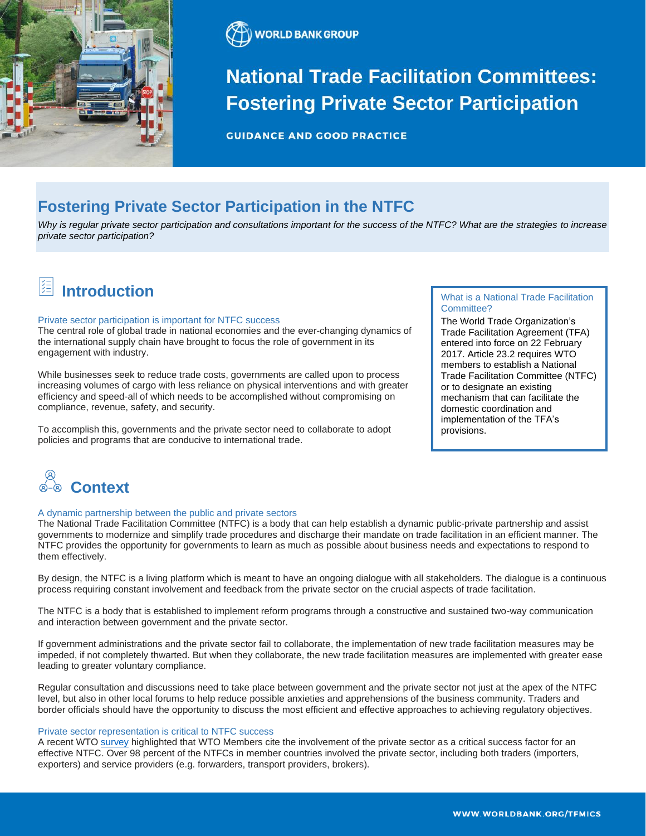



# **National Trade Facilitation Committees: Fostering Private Sector Participation**

**GUIDANCE AND GOOD PRACTICE** 

### **Fostering Private Sector Participation in the NTFC**

*Why is regular private sector participation and consultations important for the success of the NTFC? What are the strategies to increase private sector participation?*

## **Introduction**

#### Private sector participation is important for NTFC success

The central role of global trade in national economies and the ever-changing dynamics of the international supply chain have brought to focus the role of government in its engagement with industry.

While businesses seek to reduce trade costs, governments are called upon to process increasing volumes of cargo with less reliance on physical interventions and with greater efficiency and speed-all of which needs to be accomplished without compromising on compliance, revenue, safety, and security.

To accomplish this, governments and the private sector need to collaborate to adopt policies and programs that are conducive to international trade.

#### What is a National Trade Facilitation Committee?

The World Trade Organization's Trade Facilitation Agreement (TFA) entered into force on 22 February 2017. Article 23.2 requires WTO members to establish a National Trade Facilitation Committee (NTFC) or to designate an existing mechanism that can facilitate the domestic coordination and implementation of the TFA's provisions.



#### A dynamic partnership between the public and private sectors

The National Trade Facilitation Committee (NTFC) is a body that can help establish a dynamic public-private partnership and assist governments to modernize and simplify trade procedures and discharge their mandate on trade facilitation in an efficient manner. The NTFC provides the opportunity for governments to learn as much as possible about business needs and expectations to respond to them effectively.

By design, the NTFC is a living platform which is meant to have an ongoing dialogue with all stakeholders. The dialogue is a continuous process requiring constant involvement and feedback from the private sector on the crucial aspects of trade facilitation.

The NTFC is a body that is established to implement reform programs through a constructive and sustained two-way communication and interaction between government and the private sector.

If government administrations and the private sector fail to collaborate, the implementation of new trade facilitation measures may be impeded, if not completely thwarted. But when they collaborate, the new trade facilitation measures are implemented with greater ease leading to greater voluntary compliance.

Regular consultation and discussions need to take place between government and the private sector not just at the apex of the NTFC level, but also in other local forums to help reduce possible anxieties and apprehensions of the business community. Traders and border officials should have the opportunity to discuss the most efficient and effective approaches to achieving regulatory objectives.

#### Private sector representation is critical to NTFC success

A recent WT[O survey](https://tfafacility.org/sites/default/files/tfacovidsurveyresults.pdf) highlighted that WTO Members cite the involvement of the private sector as a critical success factor for an effective NTFC. Over 98 percent of the NTFCs in member countries involved the private sector, including both traders (importers, exporters) and service providers (e.g. forwarders, transport providers, brokers).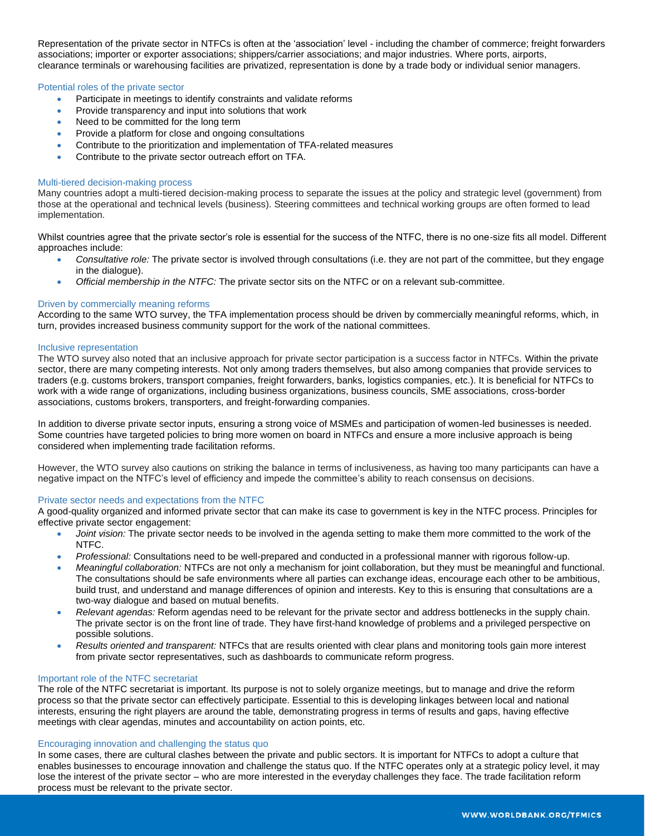Representation of the private sector in NTFCs is often at the 'association' level - including the chamber of commerce; freight forwarders associations; importer or exporter associations; shippers/carrier associations; and major industries. Where ports, airports, clearance terminals or warehousing facilities are privatized, representation is done by a trade body or individual senior managers.

#### Potential roles of the private sector

- Participate in meetings to identify constraints and validate reforms
- Provide transparency and input into solutions that work
- Need to be committed for the long term
- Provide a platform for close and ongoing consultations
- Contribute to the prioritization and implementation of TFA-related measures
- Contribute to the private sector outreach effort on TFA.

#### Multi-tiered decision-making process

Many countries adopt a multi-tiered decision-making process to separate the issues at the policy and strategic level (government) from those at the operational and technical levels (business). Steering committees and technical working groups are often formed to lead implementation.

Whilst countries agree that the private sector's role is essential for the success of the NTFC, there is no one-size fits all model. Different approaches include:

- *Consultative role:* The private sector is involved through consultations (i.e. they are not part of the committee, but they engage in the dialogue).
- *Official membership in the NTFC:* The private sector sits on the NTFC or on a relevant sub-committee.

#### Driven by commercially meaning reforms

According to the same WTO survey, the TFA implementation process should be driven by commercially meaningful reforms, which, in turn, provides increased business community support for the work of the national committees.

#### Inclusive representation

The WTO survey also noted that an inclusive approach for private sector participation is a success factor in NTFCs. Within the private sector, there are many competing interests. Not only among traders themselves, but also among companies that provide services to traders (e.g. customs brokers, transport companies, freight forwarders, banks, logistics companies, etc.). It is beneficial for NTFCs to work with a wide range of organizations, including business organizations, business councils, SME associations, cross-border associations, customs brokers, transporters, and freight-forwarding companies.

In addition to diverse private sector inputs, ensuring a strong voice of MSMEs and participation of women-led businesses is needed. Some countries have targeted policies to bring more women on board in NTFCs and ensure a more inclusive approach is being considered when implementing trade facilitation reforms.

However, the WTO survey also cautions on striking the balance in terms of inclusiveness, as having too many participants can have a negative impact on the NTFC's level of efficiency and impede the committee's ability to reach consensus on decisions.

#### Private sector needs and expectations from the NTFC

A good-quality organized and informed private sector that can make its case to government is key in the NTFC process. Principles for effective private sector engagement:

- *Joint vision:* The private sector needs to be involved in the agenda setting to make them more committed to the work of the NTFC.
- *Professional:* Consultations need to be well-prepared and conducted in a professional manner with rigorous follow-up.
- *Meaningful collaboration:* NTFCs are not only a mechanism for joint collaboration, but they must be meaningful and functional. The consultations should be safe environments where all parties can exchange ideas, encourage each other to be ambitious, build trust, and understand and manage differences of opinion and interests. Key to this is ensuring that consultations are a two-way dialogue and based on mutual benefits.
- *Relevant agendas:* Reform agendas need to be relevant for the private sector and address bottlenecks in the supply chain. The private sector is on the front line of trade. They have first-hand knowledge of problems and a privileged perspective on possible solutions.
- *Results oriented and transparent:* NTFCs that are results oriented with clear plans and monitoring tools gain more interest from private sector representatives, such as dashboards to communicate reform progress.

#### Important role of the NTFC secretariat

The role of the NTFC secretariat is important. Its purpose is not to solely organize meetings, but to manage and drive the reform process so that the private sector can effectively participate. Essential to this is developing linkages between local and national interests, ensuring the right players are around the table, demonstrating progress in terms of results and gaps, having effective meetings with clear agendas, minutes and accountability on action points, etc.

#### Encouraging innovation and challenging the status quo

In some cases, there are cultural clashes between the private and public sectors. It is important for NTFCs to adopt a culture that enables businesses to encourage innovation and challenge the status quo. If the NTFC operates only at a strategic policy level, it may lose the interest of the private sector – who are more interested in the everyday challenges they face. The trade facilitation reform process must be relevant to the private sector.